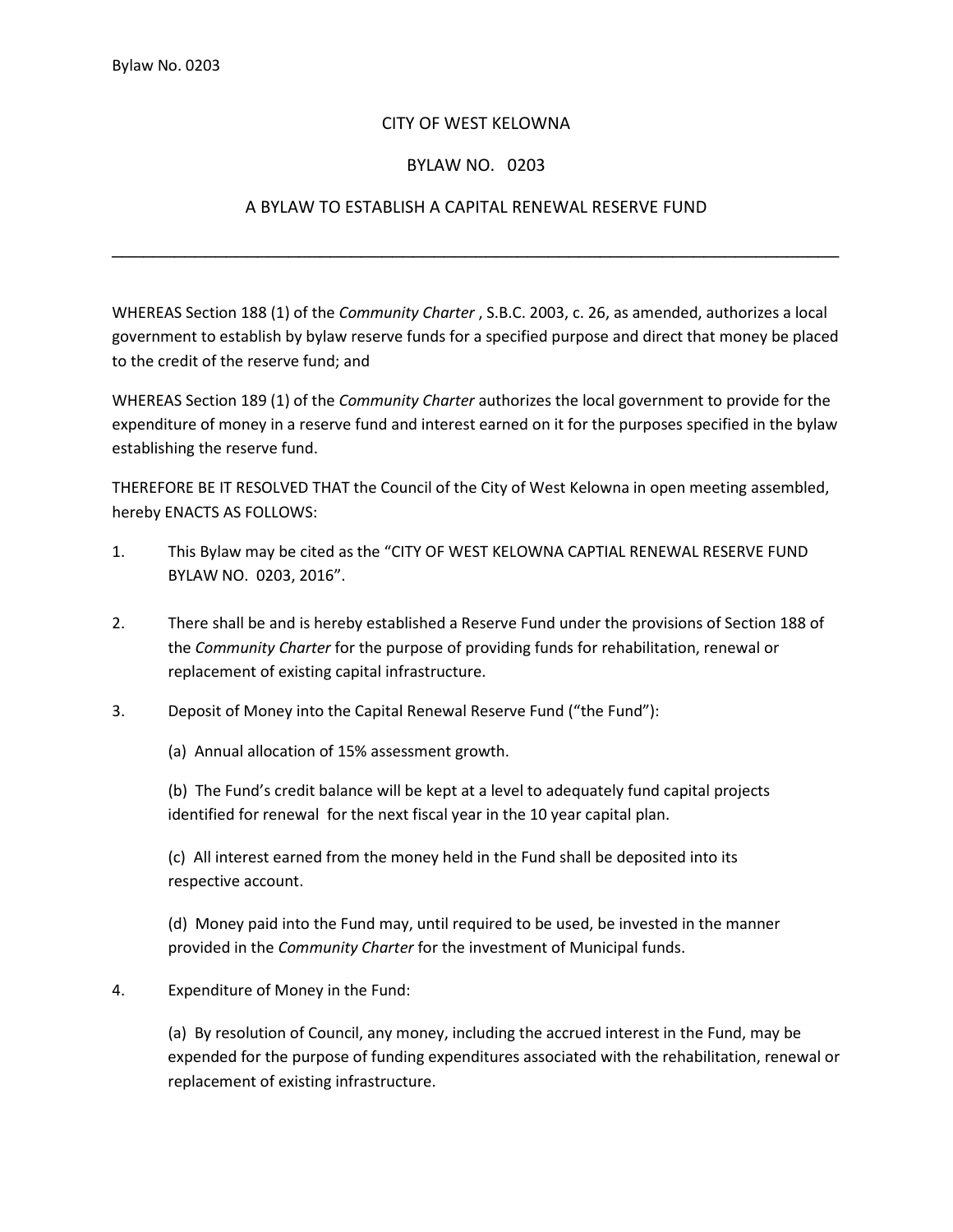## CITY OF WEST KELOWNA

## BYLAW NO. 0203

## A BYLAW TO ESTABLISH A CAPITAL RENEWAL RESERVE FUND

\_\_\_\_\_\_\_\_\_\_\_\_\_\_\_\_\_\_\_\_\_\_\_\_\_\_\_\_\_\_\_\_\_\_\_\_\_\_\_\_\_\_\_\_\_\_\_\_\_\_\_\_\_\_\_\_\_\_\_\_\_\_\_\_\_\_\_\_\_\_

WHEREAS Section 188 (1) of the *Community Charter* , S.B.C. 2003, c. 26, as amended, authorizes a local government to establish by bylaw reserve funds for a specified purpose and direct that money be placed to the credit of the reserve fund; and

WHEREAS Section 189 (1) of the *Community Charter* authorizes the local government to provide for the expenditure of money in a reserve fund and interest earned on it for the purposes specified in the bylaw establishing the reserve fund.

THEREFORE BE IT RESOLVED THAT the Council of the City of West Kelowna in open meeting assembled, hereby ENACTS AS FOLLOWS:

- 1. This Bylaw may be cited as the "CITY OF WEST KELOWNA CAPTIAL RENEWAL RESERVE FUND BYLAW NO. 0203, 2016".
- 2. There shall be and is hereby established a Reserve Fund under the provisions of Section 188 of the *Community Charter* for the purpose of providing funds for rehabilitation, renewal or replacement of existing capital infrastructure.
- 3. Deposit of Money into the Capital Renewal Reserve Fund ("the Fund"):

(a) Annual allocation of 15% assessment growth.

(b) The Fund's credit balance will be kept at a level to adequately fund capital projects identified for renewal for the next fiscal year in the 10 year capital plan.

(c) All interest earned from the money held in the Fund shall be deposited into its respective account.

(d) Money paid into the Fund may, until required to be used, be invested in the manner provided in the *Community Charter* for the investment of Municipal funds.

4. Expenditure of Money in the Fund:

(a) By resolution of Council, any money, including the accrued interest in the Fund, may be expended for the purpose of funding expenditures associated with the rehabilitation, renewal or replacement of existing infrastructure.